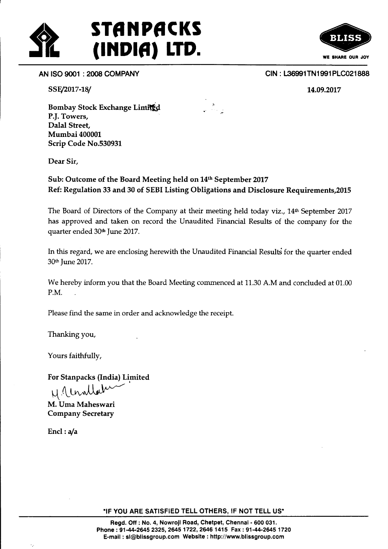



SSE/2017-18/

CIN: L36991TN1991PLC021888

14.09.2077

Bombay Stock Exchange Limited P.]. Towers, Dalal Street, Mumbai 40000L Scrip Code No.530931

Dear Sir,

Sub: Outcome of the Board Meeting held on 14<sup>th</sup> September 2017 Ref: Regulation 33 and 30 of SEBI Listing Obligations and Disclosure Requirements,20l5

The Board of Directors of the Company at their meeting held today viz., 14<sup>th</sup> September 2017 has approved and taken on record the Unaudited Financial Results of the company for the quarter ended 30<sup>th</sup> June 2017.

In this regard, we are enclosing herewith the Unaudited Financial Results for the quarter ended 30<sup>th</sup> June 2017.

We hereby inform you that the Board Meeting commenced at 11.30 A.M and concluded at 01.00 P.M.

Please find the same in order and acknowledge the receipt.

Thanking you,

Yours faithfully,

For Stanpacks (India) Limited

 $N$  Unollabe

M. Uma Maheswari Company Secretary

Encl:  $a/a$ 

"IF YOU ARE SATISFIED TELL OTHERS, IF NOT TELL US"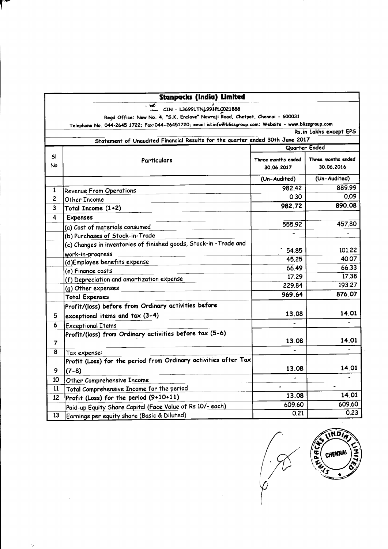| <b>Stanpacks (India) Limited</b> |                                                                                                           |                    |                        |
|----------------------------------|-----------------------------------------------------------------------------------------------------------|--------------------|------------------------|
|                                  | , wé<br>CIN - L36991TN1991PLC021888                                                                       |                    |                        |
|                                  | Regd Office: New No. 4, "S.K. Enclave" Nowroji Road, Chetpet, Chennai - 600031                            |                    |                        |
|                                  | Telephone No. 044-2645 1722; Fax:044-26451720; email id:info@blissgroup.com; Website - www.blissgroup.com |                    |                        |
|                                  |                                                                                                           |                    | Rs.in Lakhs except EPS |
|                                  | Statement of Unaudited Financial Results for the quarter ended 30th June 2017                             |                    |                        |
|                                  |                                                                                                           | Quarter Ended      |                        |
| sı                               | <b>Particulars</b>                                                                                        | Three months ended | Three months ended     |
| No                               |                                                                                                           | 30.06.2017         | 30.06.2016             |
|                                  |                                                                                                           | (Un-Audited)       | (Un-Audited)           |
| $\mathbf{1}$                     | <b>Revenue From Operations</b>                                                                            | 982.42             | 889.99                 |
| $\overline{c}$                   | Other Income                                                                                              | 0.30               | 0.09                   |
| 3                                | Total Income $(1+2)$                                                                                      | 982.72             | 890.08                 |
| 4                                | <b>Expenses</b>                                                                                           |                    |                        |
|                                  | (a) Cost of materials consumed                                                                            | 555.92             | 457,80                 |
|                                  | (b) Purchases of Stock-in-Trade                                                                           |                    |                        |
|                                  | (c) Changes in inventories of finished goods, Stock-in -Trade and                                         |                    |                        |
|                                  | work-in-progress                                                                                          | 54.85              | 101,22                 |
|                                  | (d)Employee benefits expense                                                                              | 45.25              | 40.07                  |
|                                  | (e) Finance costs                                                                                         | 66.49              | 66.33                  |
|                                  | (f) Depreciation and amortization expense                                                                 | 17.29              | 17.38                  |
|                                  | (g) Other expenses                                                                                        | 229.84             | 193.27                 |
|                                  | <b>Total Expenses</b>                                                                                     | 969.64             | 876.07                 |
|                                  | Profit/(loss) before from Ordinary activities before                                                      |                    |                        |
| 5                                | exceptional items and tax (3-4)                                                                           | 13.08              | 14.01                  |
| 6                                | <b>Exceptional Items</b>                                                                                  |                    |                        |
|                                  | Profit/(loss) from Ordinary activities before tax (5-6)                                                   |                    |                        |
| $\overline{7}$                   |                                                                                                           | 13.08              | 14.01                  |
| 8                                | Tax expense:                                                                                              |                    |                        |
|                                  | Profit (Loss) for the period from Ordinary activities after Tax                                           |                    |                        |
| 9                                | $(7-8)$                                                                                                   | 13.08              | 14.01                  |
| 10                               | <b>Other Comprehensive Income</b>                                                                         |                    |                        |
| 11                               | Total Comprehensive Income for the period                                                                 |                    |                        |
| 12 <sup>2</sup>                  | Profit (Loss) for the period (9+10+11)                                                                    | 13.08              | 14.01                  |
|                                  | Paid-up Equity Share Capital (Face Value of Rs 10/- each)                                                 | 609.60             | 609.60                 |
| 13.                              | Fannings non equity share (Rasic & Diluted)                                                               | 0.21               | 0.23                   |

 $\ddot{\phi}$ 

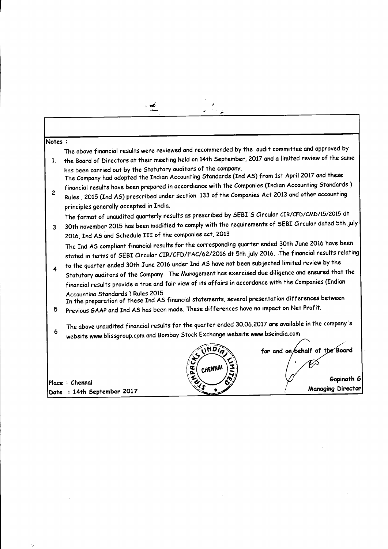| Notes: | The above financial results were reviewed and recommended by the audit committee and approved by       |  |  |  |
|--------|--------------------------------------------------------------------------------------------------------|--|--|--|
| 1.     | the Board of Directors at their meeting held on 14th September, 2017 and a limited review of the same  |  |  |  |
|        | has been carried out by the Statutory auditors of the company.                                         |  |  |  |
|        | The Company had adopted the Indian Accounting Standards (Ind AS) from 1st April 2017 and these         |  |  |  |
| 2.     | financial results have been prepared in accordiance with the Companies (Indian Accounting Standards)   |  |  |  |
|        | Rules, 2015 (Ind AS) prescribed under section 133 of the Companies Act 2013 and other accounting       |  |  |  |
|        | principles generally accepted in India.                                                                |  |  |  |
|        | The format of unaudited quarterly results as prescribed by SEBI'S Circular CIR/CFD/CMD/15/2015 dt      |  |  |  |
| 3      | 30th november 2015 has been modified to comply with the requirements of SEBI Circular dated 5th july   |  |  |  |
|        | 2016, Ind AS and Schedule III of the companies act, 2013                                               |  |  |  |
|        | The Ind AS compliant financial results for the corresponding quarter ended 30th June 2016 have been    |  |  |  |
|        | stated in terms of SEBI Circular CIR/CFD/FAC/62/2016 dt 5th july 2016. The financial results relating  |  |  |  |
|        | to the quarter ended 30th June 2016 under Ind AS have not been subjected limited review by the         |  |  |  |
| 4      | Statutory auditors of the Company. The Management has exercised due diligence and ensured that the     |  |  |  |
|        | financial results provide a true and fair view of its affairs in accordance with the Companies (Indian |  |  |  |
|        | Accountina Standards ) Rules 2015                                                                      |  |  |  |
|        | In the preparation of these Ind AS financial statements, several presentation differences between      |  |  |  |
| 5      | Previous GAAP and Ind AS has been made. These differences have no impact on Net Profit.                |  |  |  |
|        |                                                                                                        |  |  |  |
| 6      | The above unaudited financial results for the quarter ended 30.06.2017 are available in the company's  |  |  |  |
|        | website www.blissgroup.com and Bombay Stock Exchange website www.bseindia.com                          |  |  |  |
|        | <b>INDIA</b><br>for and on/behalf of the Board                                                         |  |  |  |
|        | $\mathbf{r}$                                                                                           |  |  |  |
|        | द<br>o<br>CHENNA                                                                                       |  |  |  |
|        | Gopinath G<br>Place : Chennai                                                                          |  |  |  |
|        | <b>Managing Director</b><br>Date : 14th September 2017                                                 |  |  |  |
|        |                                                                                                        |  |  |  |

 $\mathcal{L}^{\text{max}}_{\text{max}}$  and  $\mathcal{L}^{\text{max}}_{\text{max}}$ 

 $\mathcal{A}^{\mathcal{A}}$